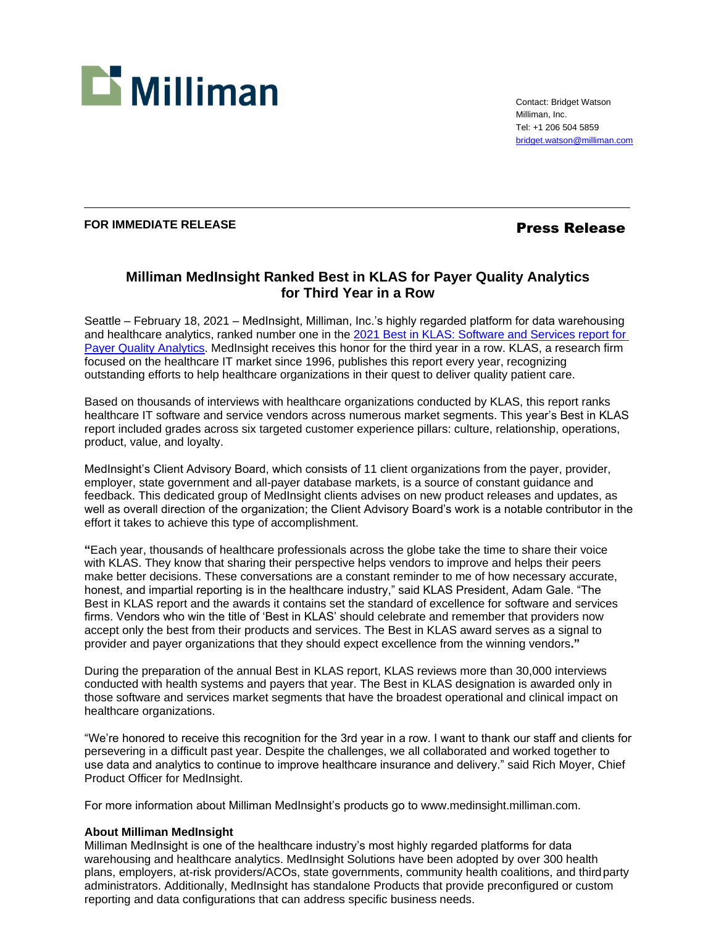

Contact: Bridget Watson Milliman, Inc. Tel: +1 206 504 5859 [bridget.watson@milliman.com](mailto:bridget.watson@milliman.com)

# **FOR IMMEDIATE RELEASE Press Release**

# **Milliman MedInsight Ranked Best in KLAS for Payer Quality Analytics for Third Year in a Row**

Seattle – February 18, 2021 – MedInsight, Milliman, Inc.'s highly regarded platform for data warehousing and healthcare analytics, ranked number one in the 2021 [Best in KLAS: Software and Services report for](https://klasresearch.com/best-in-klas-ranking/payer-quality-analytics/2021/323)  [Payer Quality](https://klasresearch.com/best-in-klas-ranking/payer-quality-analytics/2021/323) Analytics. MedInsight receives this honor for the third year in a row. KLAS, a research firm focused on the healthcare IT market since 1996, publishes this report every year, recognizing outstanding efforts to help healthcare organizations in their quest to deliver quality patient care.

Based on thousands of interviews with healthcare organizations conducted by KLAS, this report ranks healthcare IT software and service vendors across numerous market segments. This year's Best in KLAS report included grades across six targeted customer experience pillars: culture, relationship, operations, product, value, and loyalty.

MedInsight's Client Advisory Board, which consists of 11 client organizations from the payer, provider, employer, state government and all-payer database markets, is a source of constant guidance and feedback. This dedicated group of MedInsight clients advises on new product releases and updates, as well as overall direction of the organization; the Client Advisory Board's work is a notable contributor in the effort it takes to achieve this type of accomplishment.

**"**Each year, thousands of healthcare professionals across the globe take the time to share their voice with KLAS. They know that sharing their perspective helps vendors to improve and helps their peers make better decisions. These conversations are a constant reminder to me of how necessary accurate, honest, and impartial reporting is in the healthcare industry," said KLAS President, Adam Gale. "The Best in KLAS report and the awards it contains set the standard of excellence for software and services firms. Vendors who win the title of 'Best in KLAS' should celebrate and remember that providers now accept only the best from their products and services. The Best in KLAS award serves as a signal to provider and payer organizations that they should expect excellence from the winning vendors**."**

During the preparation of the annual Best in KLAS report, KLAS reviews more than 30,000 interviews conducted with health systems and payers that year. The Best in KLAS designation is awarded only in those software and services market segments that have the broadest operational and clinical impact on healthcare organizations.

"We're honored to receive this recognition for the 3rd year in a row. I want to thank our staff and clients for persevering in a difficult past year. Despite the challenges, we all collaborated and worked together to use data and analytics to continue to improve healthcare insurance and delivery." said Rich Moyer, Chief Product Officer for MedInsight.

For more information about Milliman MedInsight's products go to [www.medinsight.milliman.com.](http://www.medinsight.milliman.com/)

### **About Milliman MedInsight**

Milliman MedInsight is one of the healthcare industry's most highly regarded platforms for data warehousing and healthcare analytics. MedInsight Solutions have been adopted by over 300 health plans, employers, at-risk providers/ACOs, state governments, community health coalitions, and thirdparty administrators. Additionally, MedInsight has standalone Products that provide preconfigured or custom reporting and data configurations that can address specific business needs.